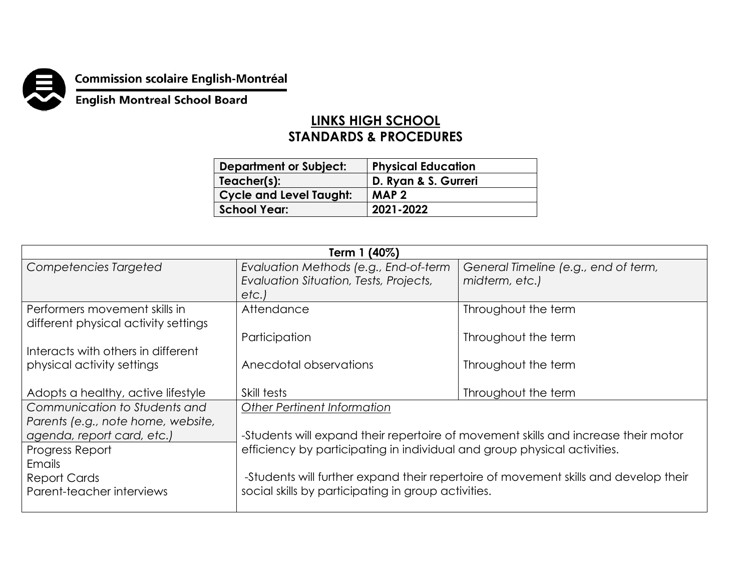

## **Commission scolaire English-Montréal<br>English Montreal School Board**

## **LINKS HIGH SCHOOL STANDARDS & PROCEDURES**

| <b>Department or Subject:</b>  | <b>Physical Education</b> |
|--------------------------------|---------------------------|
| Teacher(s):                    | D. Ryan & S. Gurreri      |
| <b>Cycle and Level Taught:</b> | MAP <sub>2</sub>          |
| <b>School Year:</b>            | 2021-2022                 |

| Term 1 (40%)                         |                                                                                     |                                      |  |  |
|--------------------------------------|-------------------------------------------------------------------------------------|--------------------------------------|--|--|
| Competencies Targeted                | Evaluation Methods (e.g., End-of-term                                               | General Timeline (e.g., end of term, |  |  |
|                                      | Evaluation Situation, Tests, Projects,                                              | midterm, etc.)                       |  |  |
|                                      | etc.                                                                                |                                      |  |  |
| Performers movement skills in        | Attendance                                                                          | Throughout the term                  |  |  |
| different physical activity settings |                                                                                     |                                      |  |  |
|                                      | Participation                                                                       | Throughout the term                  |  |  |
| Interacts with others in different   |                                                                                     |                                      |  |  |
| physical activity settings           | Anecdotal observations                                                              | Throughout the term                  |  |  |
|                                      |                                                                                     |                                      |  |  |
| Adopts a healthy, active lifestyle   | Skill tests                                                                         | Throughout the term                  |  |  |
| Communication to Students and        | Other Pertinent Information                                                         |                                      |  |  |
| Parents (e.g., note home, website,   |                                                                                     |                                      |  |  |
| agenda, report card, etc.)           | -Students will expand their repertoire of movement skills and increase their motor  |                                      |  |  |
| Progress Report                      | efficiency by participating in individual and group physical activities.            |                                      |  |  |
| Emails                               |                                                                                     |                                      |  |  |
| Report Cards                         | -Students will further expand their repertoire of movement skills and develop their |                                      |  |  |
| Parent-teacher interviews            | social skills by participating in group activities.                                 |                                      |  |  |
|                                      |                                                                                     |                                      |  |  |